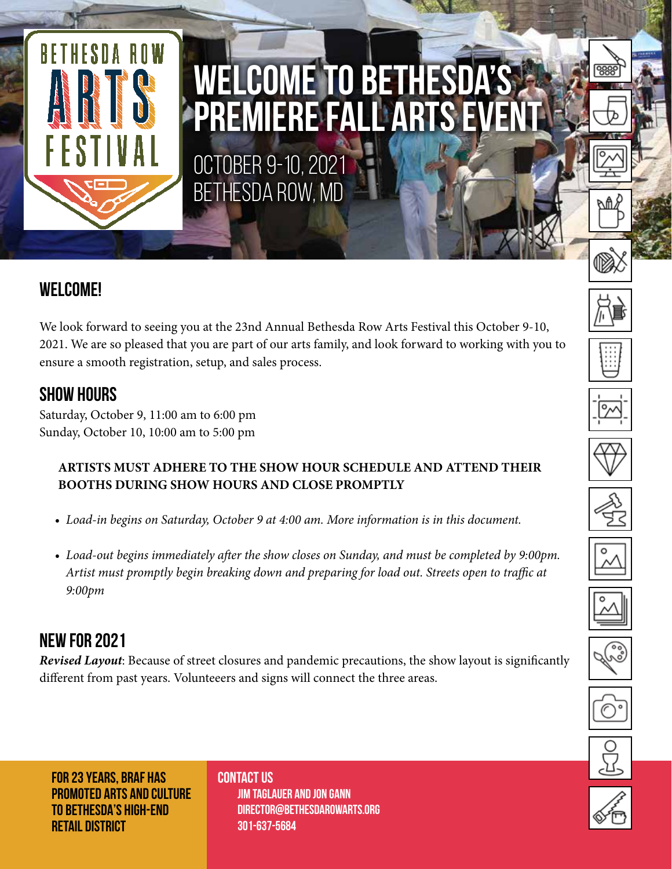

# **WELCOME TO BETHESDA'S PREMIERE FALL ARTS EVENT**

OCTOBER 9-10, 2021 BETHESDA ROW, MD

## **WELCOME!**

We look forward to seeing you at the 23nd Annual Bethesda Row Arts Festival this October 9-10, 2021. We are so pleased that you are part of our arts family, and look forward to working with you to ensure a smooth registration, setup, and sales process.

### **SHOW HOURS**

Saturday, October 9, 11:00 am to 6:00 pm Sunday, October 10, 10:00 am to 5:00 pm

#### **ARTISTS MUST ADHERE TO THE SHOW HOUR SCHEDULE AND ATTEND THEIR BOOTHS DURING SHOW HOURS AND CLOSE PROMPTLY**

- *Load-in begins on Saturday, October 9 at 4:00 am. More information is in this document.*
- *Load-out begins immediately after the show closes on Sunday, and must be completed by 9:00pm. Artist must promptly begin breaking down and preparing for load out. Streets open to traffic at 9:00pm*

## **NEW FOR 2021**

*Revised Layout*: Because of street closures and pandemic precautions, the show layout is significantly different from past years. Volunteeers and signs will connect the three areas.

ં

**FOR 23 YEARS, BRAF HAS PROMOTED ARTS AND CULTURE TO BETHESDA'S HIGH-END RETAIL DISTRICT**

**CONTACT US JIM TAGLAUER AND JON GANN Director@bethesdarowarts.ORG 301-637-5684**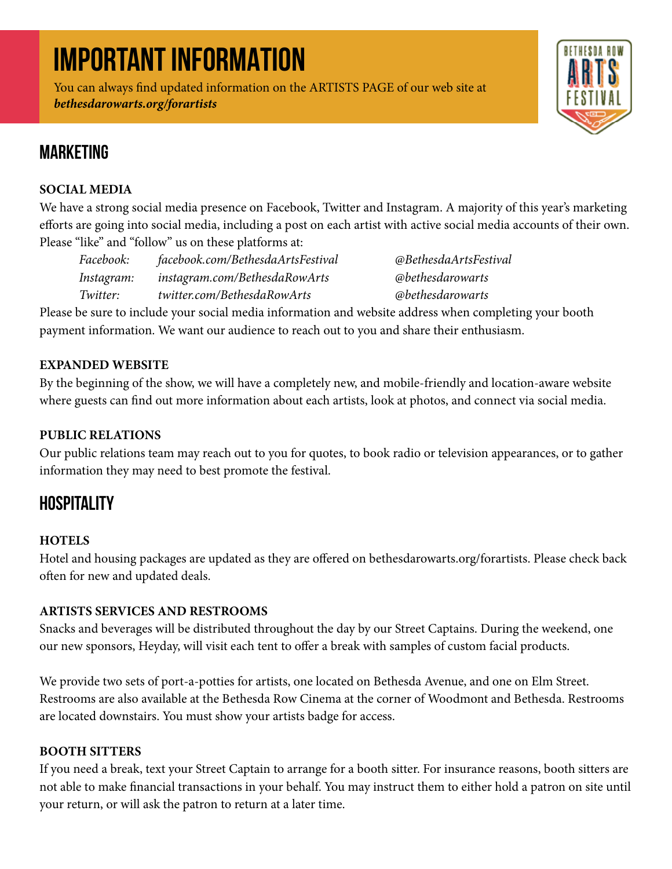## **IMPORTANT INFORMATION**

You can always find updated information on the ARTISTS PAGE of our web site at *bethesdarowarts.org/forartists*



## **MARKETING**

#### **SOCIAL MEDIA**

We have a strong social media presence on Facebook, Twitter and Instagram. A majority of this year's marketing efforts are going into social media, including a post on each artist with active social media accounts of their own. Please "like" and "follow" us on these platforms at:

| Facebook:  | facebook.com/BethesdaArtsFestival | @BethesdaArtsFestival                 |
|------------|-----------------------------------|---------------------------------------|
| Instagram: | instagram.com/BethesdaRowArts     | <b><i><u>@bethesdarowarts</u></i></b> |
| Twitter:   | twitter.com/BethesdaRowArts       | <b><i><u>@bethesdarowarts</u></i></b> |

Please be sure to include your social media information and website address when completing your booth payment information. We want our audience to reach out to you and share their enthusiasm.

#### **EXPANDED WEBSITE**

By the beginning of the show, we will have a completely new, and mobile-friendly and location-aware website where guests can find out more information about each artists, look at photos, and connect via social media.

#### **PUBLIC RELATIONS**

Our public relations team may reach out to you for quotes, to book radio or television appearances, or to gather information they may need to best promote the festival.

## **HOSPITALITY**

#### **HOTELS**

Hotel and housing packages are updated as they are offered on bethesdarowarts.org/forartists. Please check back often for new and updated deals.

#### **ARTISTS SERVICES AND RESTROOMS**

Snacks and beverages will be distributed throughout the day by our Street Captains. During the weekend, one our new sponsors, Heyday, will visit each tent to offer a break with samples of custom facial products.

We provide two sets of port-a-potties for artists, one located on Bethesda Avenue, and one on Elm Street. Restrooms are also available at the Bethesda Row Cinema at the corner of Woodmont and Bethesda. Restrooms are located downstairs. You must show your artists badge for access.

#### **BOOTH SITTERS**

If you need a break, text your Street Captain to arrange for a booth sitter. For insurance reasons, booth sitters are not able to make financial transactions in your behalf. You may instruct them to either hold a patron on site until your return, or will ask the patron to return at a later time.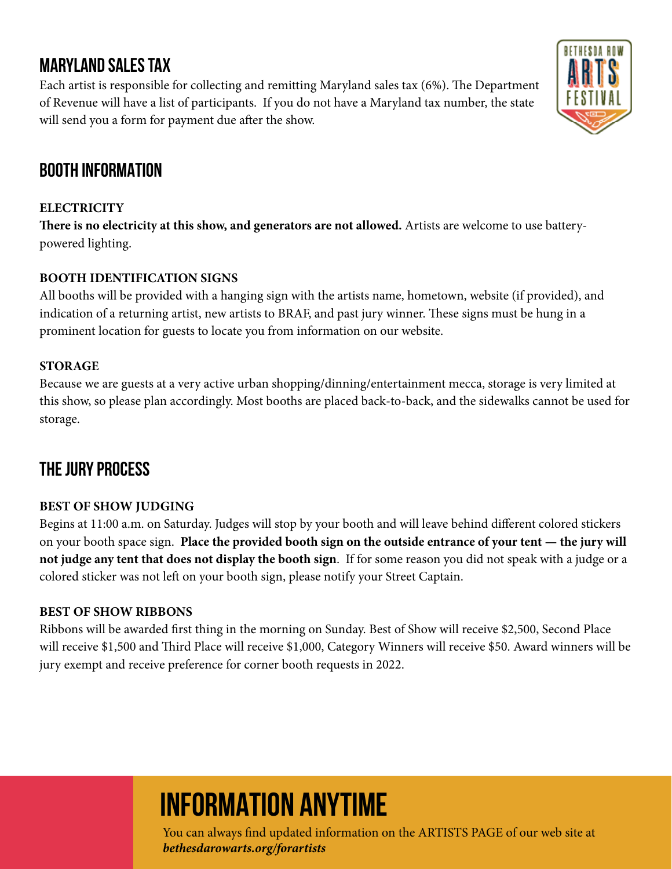## **MARYLAND SALES TAX**

Each artist is responsible for collecting and remitting Maryland sales tax (6%). The Department of Revenue will have a list of participants. If you do not have a Maryland tax number, the state will send you a form for payment due after the show.



## **BOOTH INFORMATION**

#### **ELECTRICITY**

**There is no electricity at this show, and generators are not allowed.** Artists are welcome to use batterypowered lighting.

#### **BOOTH IDENTIFICATION SIGNS**

All booths will be provided with a hanging sign with the artists name, hometown, website (if provided), and indication of a returning artist, new artists to BRAF, and past jury winner. These signs must be hung in a prominent location for guests to locate you from information on our website.

#### **STORAGE**

Because we are guests at a very active urban shopping/dinning/entertainment mecca, storage is very limited at this show, so please plan accordingly. Most booths are placed back-to-back, and the sidewalks cannot be used for storage.

## **THE JURY PROCESS**

#### **BEST OF SHOW JUDGING**

Begins at 11:00 a.m. on Saturday. Judges will stop by your booth and will leave behind different colored stickers on your booth space sign. **Place the provided booth sign on the outside entrance of your tent — the jury will not judge any tent that does not display the booth sign**. If for some reason you did not speak with a judge or a colored sticker was not left on your booth sign, please notify your Street Captain.

#### **BEST OF SHOW RIBBONS**

Ribbons will be awarded first thing in the morning on Sunday. Best of Show will receive \$2,500, Second Place will receive \$1,500 and Third Place will receive \$1,000, Category Winners will receive \$50. Award winners will be jury exempt and receive preference for corner booth requests in 2022.

## **INFORMATION ANYTIME**

You can always find updated information on the ARTISTS PAGE of our web site at *bethesdarowarts.org/forartists*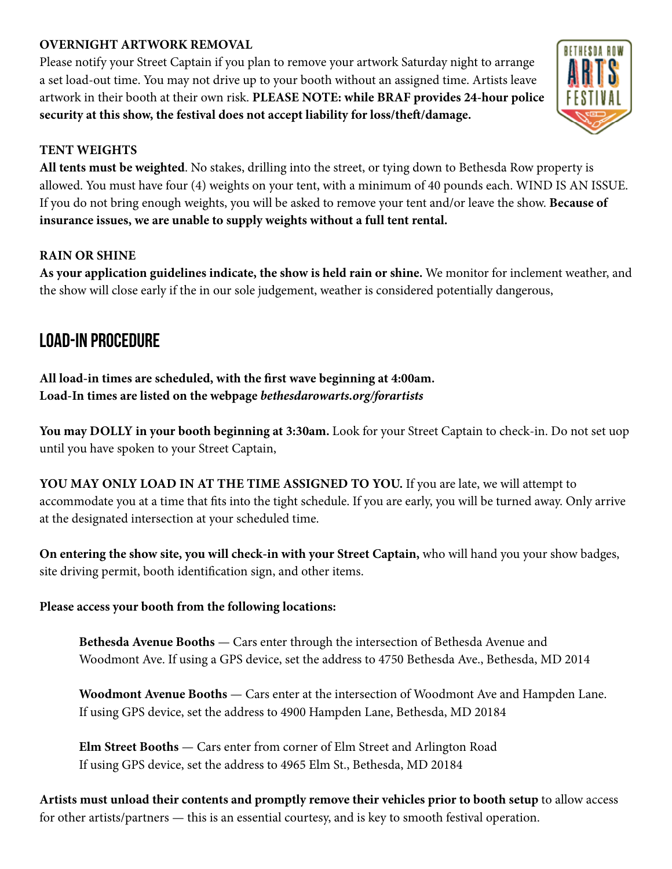#### **OVERNIGHT ARTWORK REMOVAL**

Please notify your Street Captain if you plan to remove your artwork Saturday night to arrange a set load-out time. You may not drive up to your booth without an assigned time. Artists leave artwork in their booth at their own risk. **PLEASE NOTE: while BRAF provides 24-hour police security at this show, the festival does not accept liability for loss/theft/damage.**

#### **TENT WEIGHTS**

**All tents must be weighted**. No stakes, drilling into the street, or tying down to Bethesda Row property is allowed. You must have four (4) weights on your tent, with a minimum of 40 pounds each. WIND IS AN ISSUE. If you do not bring enough weights, you will be asked to remove your tent and/or leave the show. **Because of insurance issues, we are unable to supply weights without a full tent rental.**

#### **RAIN OR SHINE**

**As your application guidelines indicate, the show is held rain or shine.** We monitor for inclement weather, and the show will close early if the in our sole judgement, weather is considered potentially dangerous,

### **LOAD-IN PROCEDURE**

**All load-in times are scheduled, with the first wave beginning at 4:00am. Load-In times are listed on the webpage** *bethesdarowarts.org/forartists*

**You may DOLLY in your booth beginning at 3:30am.** Look for your Street Captain to check-in. Do not set uop until you have spoken to your Street Captain,

**YOU MAY ONLY LOAD IN AT THE TIME ASSIGNED TO YOU.** If you are late, we will attempt to accommodate you at a time that fits into the tight schedule. If you are early, you will be turned away. Only arrive at the designated intersection at your scheduled time.

**On entering the show site, you will check-in with your Street Captain,** who will hand you your show badges, site driving permit, booth identification sign, and other items.

#### **Please access your booth from the following locations:**

**Bethesda Avenue Booths** — Cars enter through the intersection of Bethesda Avenue and Woodmont Ave. If using a GPS device, set the address to 4750 Bethesda Ave., Bethesda, MD 2014

**Woodmont Avenue Booths** — Cars enter at the intersection of Woodmont Ave and Hampden Lane. If using GPS device, set the address to 4900 Hampden Lane, Bethesda, MD 20184

**Elm Street Booths** — Cars enter from corner of Elm Street and Arlington Road If using GPS device, set the address to 4965 Elm St., Bethesda, MD 20184

**Artists must unload their contents and promptly remove their vehicles prior to booth setup** to allow access for other artists/partners — this is an essential courtesy, and is key to smooth festival operation.